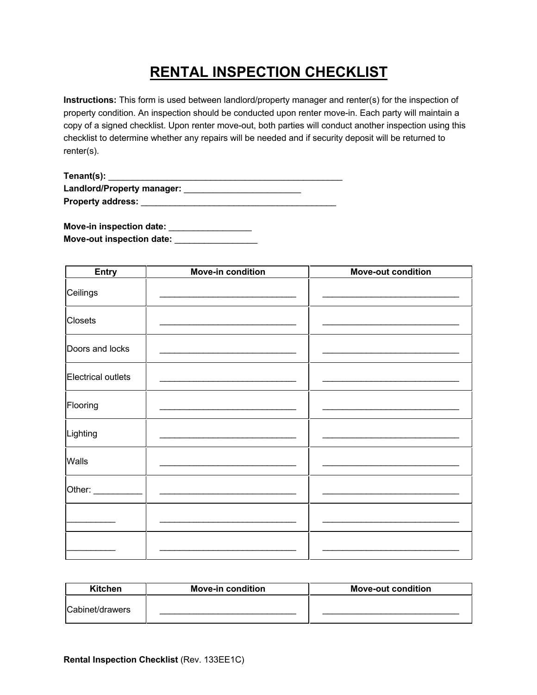## **RENTAL INSPECTION CHECKLIST**

**Instructions:** This form is used between landlord/property manager and renter(s) for the inspection of property condition. An inspection should be conducted upon renter move-in. Each party will maintain a copy of a signed checklist. Upon renter move-out, both parties will conduct another inspection using this checklist to determine whether any repairs will be needed and if security deposit will be returned to renter(s).

| Tenant(s):                 |  |
|----------------------------|--|
| Landlord/Property manager: |  |
| <b>Property address:</b>   |  |

| <b>Move-in inspection date:</b> |  |
|---------------------------------|--|
| Move-out inspection date:       |  |

| <b>Entry</b>       | <b>Move-in condition</b> | <b>Move-out condition</b> |
|--------------------|--------------------------|---------------------------|
| Ceilings           |                          |                           |
| <b>Closets</b>     |                          |                           |
| Doors and locks    |                          |                           |
| Electrical outlets |                          |                           |
| Flooring           |                          |                           |
| Lighting           |                          |                           |
| Walls              |                          |                           |
| Other: ___________ | $\frac{1}{2}$            |                           |
|                    |                          |                           |
|                    |                          |                           |

| Kitchen         | <b>Move-in condition</b> | <b>Move-out condition</b> |
|-----------------|--------------------------|---------------------------|
| Cabinet/drawers |                          |                           |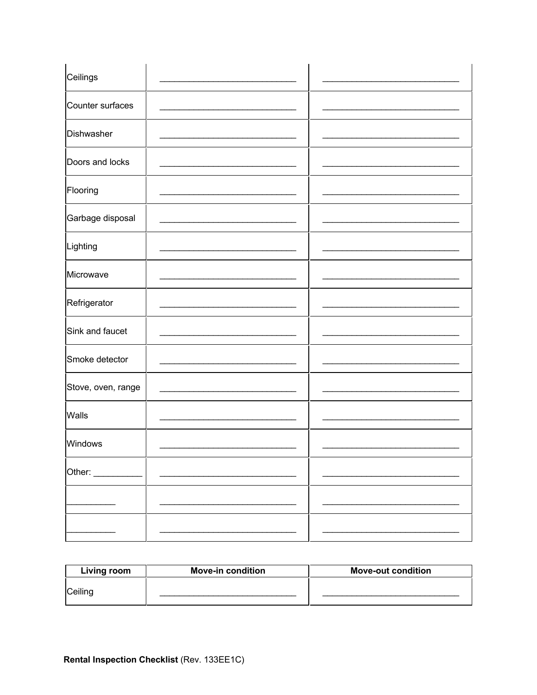| Ceilings           |  |
|--------------------|--|
| Counter surfaces   |  |
| Dishwasher         |  |
| Doors and locks    |  |
| Flooring           |  |
| Garbage disposal   |  |
| Lighting           |  |
| Microwave          |  |
| Refrigerator       |  |
| Sink and faucet    |  |
| Smoke detector     |  |
| Stove, oven, range |  |
| Walls              |  |
| Windows            |  |
| Other:             |  |
|                    |  |
|                    |  |

| Living room | <b>Move-in condition</b> | <b>Move-out condition</b> |
|-------------|--------------------------|---------------------------|
| Ceiling     |                          |                           |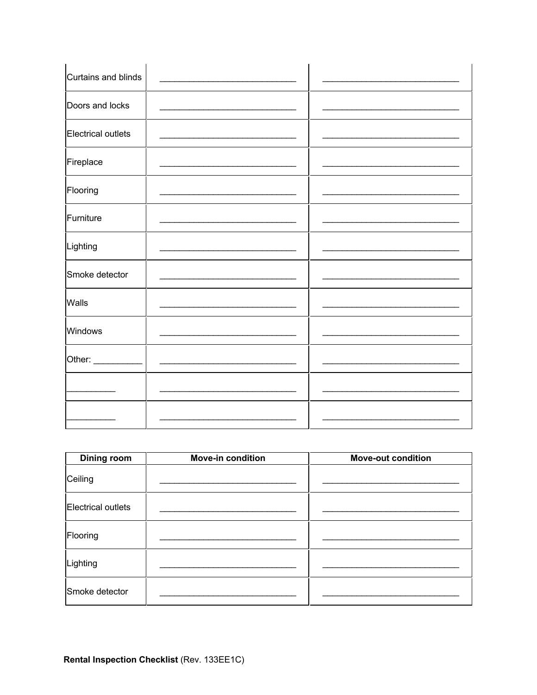| Curtains and blinds |  |
|---------------------|--|
| Doors and locks     |  |
| Electrical outlets  |  |
| Fireplace           |  |
| Flooring            |  |
| Furniture           |  |
| Lighting            |  |
| Smoke detector      |  |
| Walls               |  |
| Windows             |  |
| Other: ________     |  |
|                     |  |
|                     |  |

| <b>Dining room</b>        | <b>Move-in condition</b> | <b>Move-out condition</b> |
|---------------------------|--------------------------|---------------------------|
| Ceiling                   |                          |                           |
| <b>Electrical outlets</b> |                          |                           |
| Flooring                  |                          |                           |
| Lighting                  |                          |                           |
| Smoke detector            |                          |                           |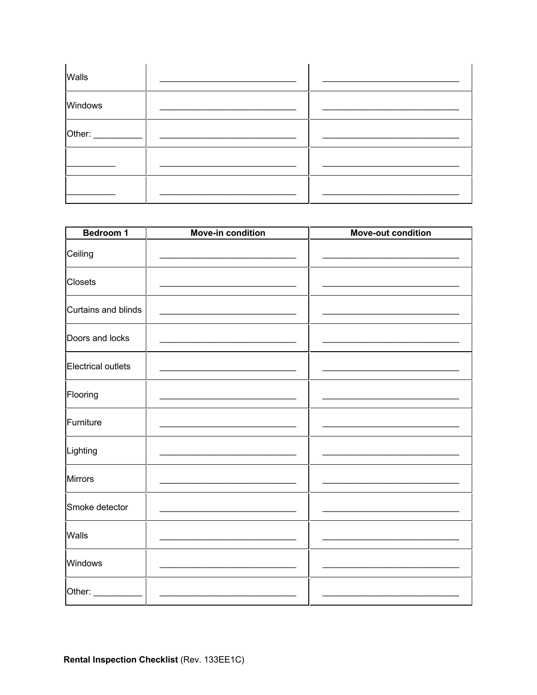| Walls   |  |
|---------|--|
| Windows |  |
| Other:  |  |
|         |  |
|         |  |

| <b>Bedroom 1</b>    | <b>Move-in condition</b> | <b>Move-out condition</b> |
|---------------------|--------------------------|---------------------------|
| Ceiling             |                          |                           |
| <b>Closets</b>      |                          |                           |
| Curtains and blinds |                          |                           |
| Doors and locks     |                          |                           |
| Electrical outlets  |                          |                           |
| Flooring            |                          |                           |
| Furniture           |                          |                           |
| Lighting            |                          |                           |
| <b>Mirrors</b>      |                          |                           |
| Smoke detector      |                          |                           |
| Walls               |                          |                           |
| Windows             |                          |                           |
| Other:              |                          |                           |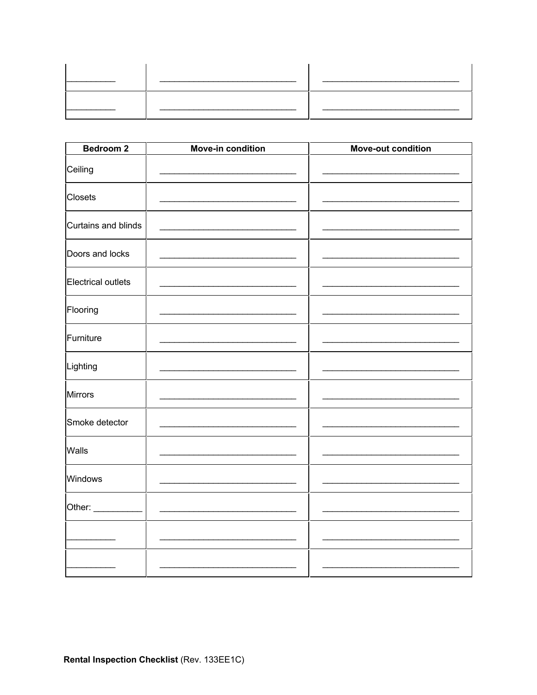| Bedroom <sub>2</sub> | <b>Move-in condition</b> | <b>Move-out condition</b> |
|----------------------|--------------------------|---------------------------|
| Ceiling              |                          |                           |
| <b>Closets</b>       |                          |                           |
| Curtains and blinds  |                          |                           |
| Doors and locks      |                          |                           |
| Electrical outlets   |                          |                           |
| Flooring             |                          |                           |
| Furniture            |                          |                           |
| Lighting             |                          |                           |
| <b>Mirrors</b>       |                          |                           |
| Smoke detector       |                          |                           |
| Walls                |                          |                           |
| Windows              |                          |                           |
| Other: _________     |                          |                           |
|                      |                          |                           |
|                      |                          |                           |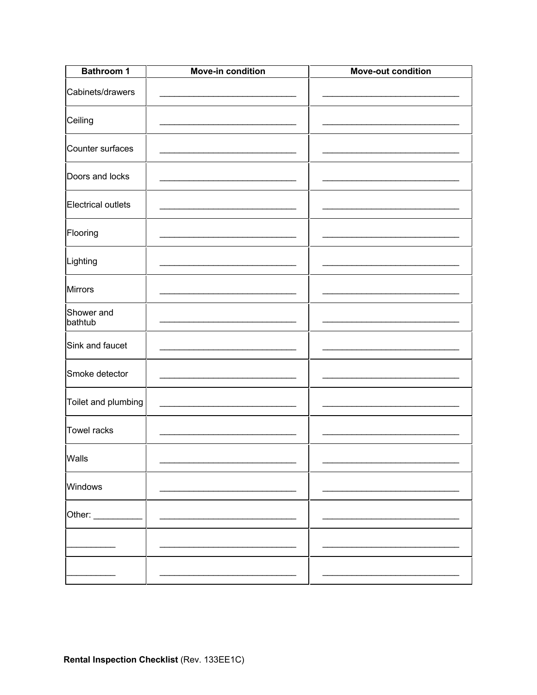| <b>Bathroom 1</b>     | <b>Move-in condition</b> | <b>Move-out condition</b> |
|-----------------------|--------------------------|---------------------------|
| Cabinets/drawers      |                          |                           |
| Ceiling               |                          |                           |
| Counter surfaces      |                          |                           |
| Doors and locks       |                          |                           |
| Electrical outlets    |                          |                           |
| Flooring              |                          |                           |
| Lighting              |                          |                           |
| <b>Mirrors</b>        |                          |                           |
| Shower and<br>bathtub |                          |                           |
| Sink and faucet       |                          |                           |
| Smoke detector        |                          |                           |
| Toilet and plumbing   |                          |                           |
| <b>Towel racks</b>    |                          |                           |
| Walls                 |                          |                           |
| Windows               |                          |                           |
| Other:                |                          |                           |
|                       |                          |                           |
|                       |                          |                           |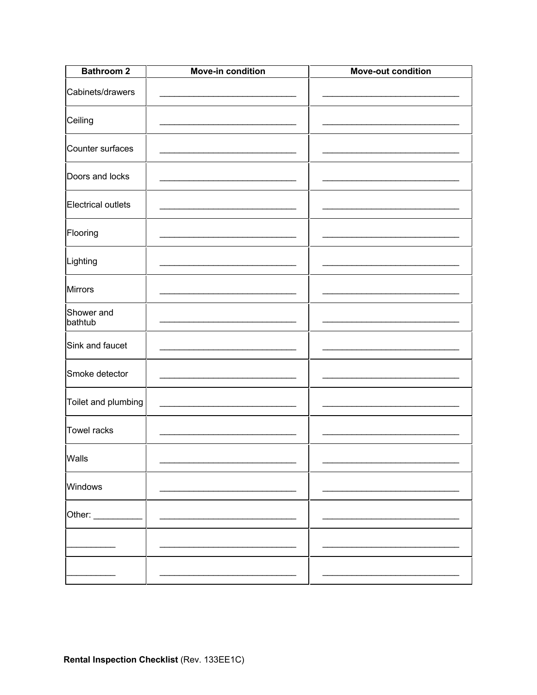| <b>Bathroom 2</b>     | Move-in condition | <b>Move-out condition</b> |
|-----------------------|-------------------|---------------------------|
| Cabinets/drawers      |                   |                           |
| Ceiling               |                   |                           |
| Counter surfaces      |                   |                           |
| Doors and locks       |                   |                           |
| Electrical outlets    |                   |                           |
| Flooring              |                   |                           |
| Lighting              |                   |                           |
| <b>Mirrors</b>        |                   |                           |
| Shower and<br>bathtub |                   |                           |
| Sink and faucet       |                   |                           |
| Smoke detector        |                   |                           |
| Toilet and plumbing   |                   |                           |
| <b>Towel racks</b>    |                   |                           |
| Walls                 |                   |                           |
| Windows               |                   |                           |
| Other:                |                   |                           |
|                       |                   |                           |
|                       |                   |                           |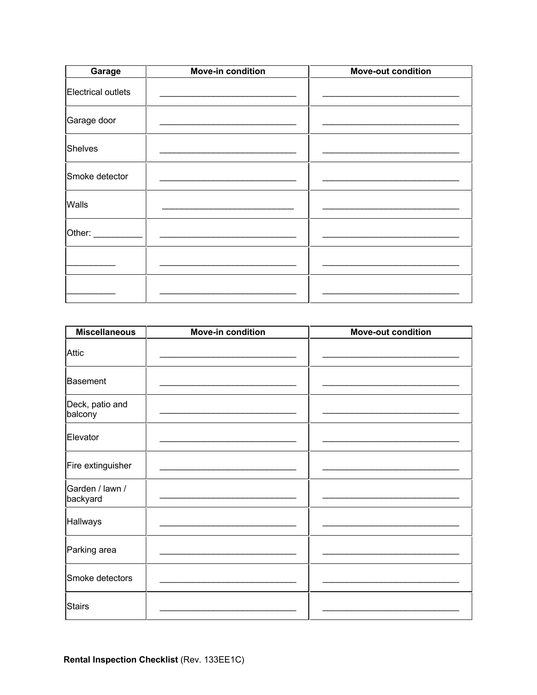| Garage             | <b>Move-in condition</b> | <b>Move-out condition</b> |
|--------------------|--------------------------|---------------------------|
| Electrical outlets |                          |                           |
| Garage door        |                          |                           |
| <b>Shelves</b>     |                          |                           |
| Smoke detector     |                          |                           |
| Walls              |                          |                           |
| Other: ___________ |                          |                           |
|                    |                          |                           |
|                    |                          |                           |

| <b>Miscellaneous</b>        | <b>Move-in condition</b> | <b>Move-out condition</b> |
|-----------------------------|--------------------------|---------------------------|
| <b>Attic</b>                |                          |                           |
| Basement                    |                          |                           |
| Deck, patio and<br>balcony  |                          |                           |
| Elevator                    |                          |                           |
| Fire extinguisher           |                          |                           |
| Garden / lawn /<br>backyard |                          |                           |
| Hallways                    |                          |                           |
| Parking area                |                          |                           |
| Smoke detectors             |                          |                           |
| <b>Stairs</b>               |                          |                           |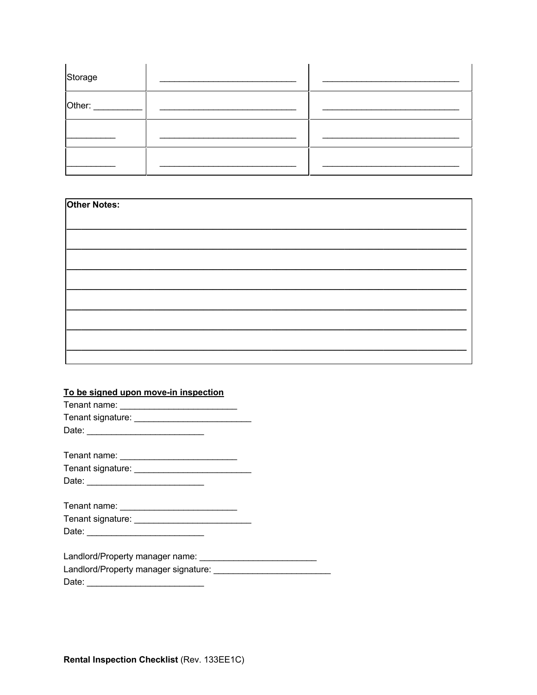| Storage |  |
|---------|--|
| Other:  |  |
|         |  |
|         |  |

| <b>Other Notes:</b> |  |  |  |
|---------------------|--|--|--|
|                     |  |  |  |
|                     |  |  |  |
|                     |  |  |  |
|                     |  |  |  |
|                     |  |  |  |
|                     |  |  |  |
|                     |  |  |  |
|                     |  |  |  |

## To be signed upon move-in inspection

| Date: <u>______________________________</u>          |
|------------------------------------------------------|
|                                                      |
|                                                      |
|                                                      |
|                                                      |
|                                                      |
|                                                      |
| Landlord/Property manager signature: _______________ |
|                                                      |
|                                                      |

Rental Inspection Checklist (Rev. 133EE1C)